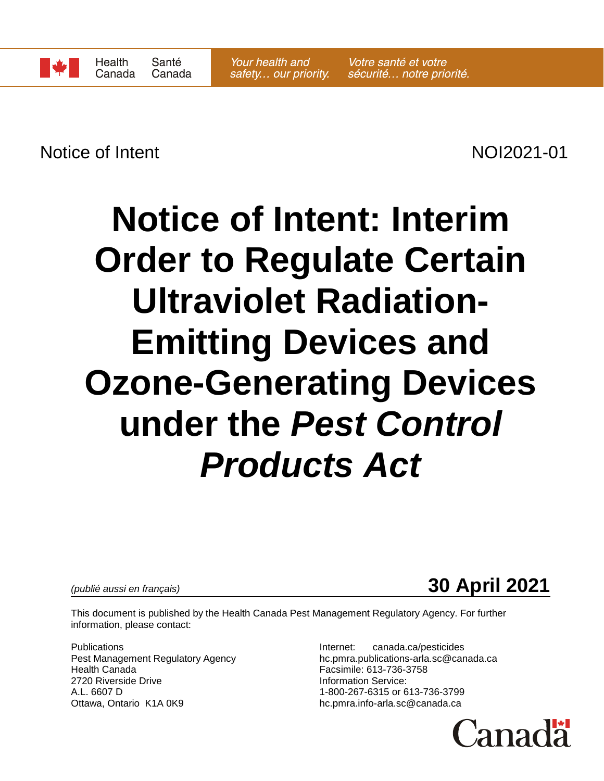Notice of Intent NOI2021-01

# **Notice of Intent: Interim Order to Regulate Certain Ultraviolet Radiation-Emitting Devices and Ozone-Generating Devices under the** *Pest Control Products Act*

*(publié aussi en français)* **30 April 2021**

This document is published by the Health Canada Pest Management Regulatory Agency. For further information, please contact:

Publications **Internet:** canada.ca/pesticides 2720 Riverside Drive **Information Service:** A.L. 6607 D 1-800-267-6315 or 613-736-3799 Ottawa, Ontario K1A 0K9 https://www.bib.pmra.info-arla.sc@canada.ca

Pest Management Regulatory Agency hother hand hother and health Canada.ca<br>Health Canada<br>Facsimile: 613-736-3758 Facsimile: 613-736-3758

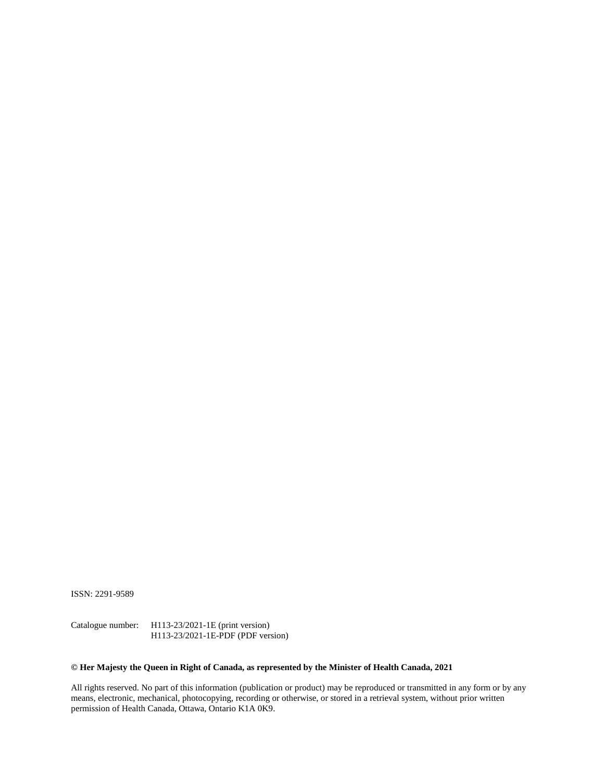ISSN: 2291-9589

Catalogue number: H113-23/2021-1E (print version) H113-23/2021-1E-PDF (PDF version)

#### **© Her Majesty the Queen in Right of Canada, as represented by the Minister of Health Canada, 2021**

All rights reserved. No part of this information (publication or product) may be reproduced or transmitted in any form or by any means, electronic, mechanical, photocopying, recording or otherwise, or stored in a retrieval system, without prior written permission of Health Canada, Ottawa, Ontario K1A 0K9.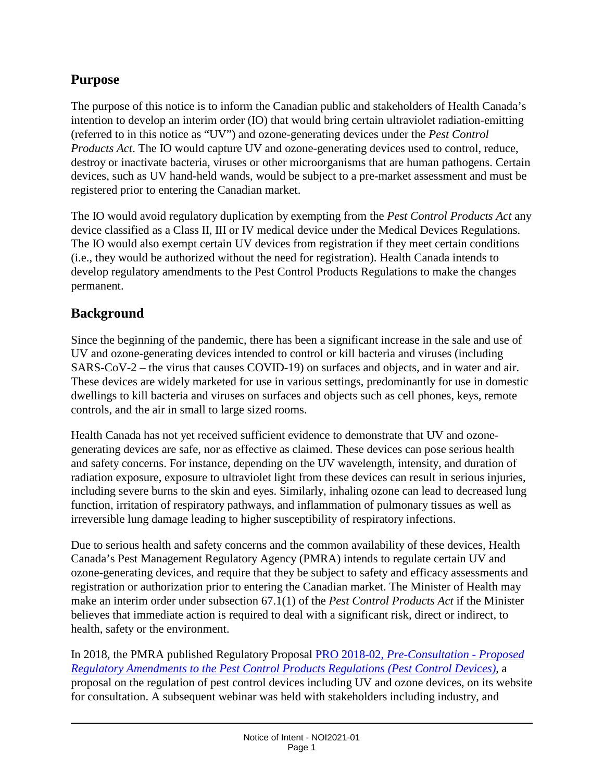## **Purpose**

The purpose of this notice is to inform the Canadian public and stakeholders of Health Canada's intention to develop an interim order (IO) that would bring certain ultraviolet radiation-emitting (referred to in this notice as "UV") and ozone-generating devices under the *Pest Control Products Act*. The IO would capture UV and ozone-generating devices used to control, reduce, destroy or inactivate bacteria, viruses or other microorganisms that are human pathogens. Certain devices, such as UV hand-held wands, would be subject to a pre-market assessment and must be registered prior to entering the Canadian market.

The IO would avoid regulatory duplication by exempting from the *Pest Control Products Act* any device classified as a Class II, III or IV medical device under the Medical Devices Regulations. The IO would also exempt certain UV devices from registration if they meet certain conditions (i.e., they would be authorized without the need for registration). Health Canada intends to develop regulatory amendments to the Pest Control Products Regulations to make the changes permanent.

#### **Background**

Since the beginning of the pandemic, there has been a significant increase in the sale and use of UV and ozone-generating devices intended to control or kill bacteria and viruses (including SARS-CoV-2 – the virus that causes COVID-19) on surfaces and objects, and in water and air. These devices are widely marketed for use in various settings, predominantly for use in domestic dwellings to kill bacteria and viruses on surfaces and objects such as cell phones, keys, remote controls, and the air in small to large sized rooms.

Health Canada has not yet received sufficient evidence to demonstrate that UV and ozonegenerating devices are safe, nor as effective as claimed. These devices can pose serious health and safety concerns. For instance, depending on the UV wavelength, intensity, and duration of radiation exposure, exposure to ultraviolet light from these devices can result in serious injuries, including severe burns to the skin and eyes. Similarly, inhaling ozone can lead to decreased lung function, irritation of respiratory pathways, and inflammation of pulmonary tissues as well as irreversible lung damage leading to higher susceptibility of respiratory infections.

Due to serious health and safety concerns and the common availability of these devices, Health Canada's Pest Management Regulatory Agency (PMRA) intends to regulate certain UV and ozone-generating devices, and require that they be subject to safety and efficacy assessments and registration or authorization prior to entering the Canadian market. The Minister of Health may make an interim order under subsection 67.1(1) of the *Pest Control Products Act* if the Minister believes that immediate action is required to deal with a significant risk, direct or indirect, to health, safety or the environment.

In 2018, the PMRA published Regulatory Proposal PRO 2018-02, *[Pre-Consultation -](https://www.canada.ca/en/health-canada/services/consumer-product-safety/pesticides-pest-management/public/consultations/regulatory-proposals/2018/pest-control-devices/document.html) Proposed [Regulatory Amendments to the Pest Control Products Regulations \(Pest Control Devices\)](https://www.canada.ca/en/health-canada/services/consumer-product-safety/pesticides-pest-management/public/consultations/regulatory-proposals/2018/pest-control-devices/document.html)*, a proposal on the regulation of pest control devices including UV and ozone devices, on its website for consultation. A subsequent webinar was held with stakeholders including industry, and